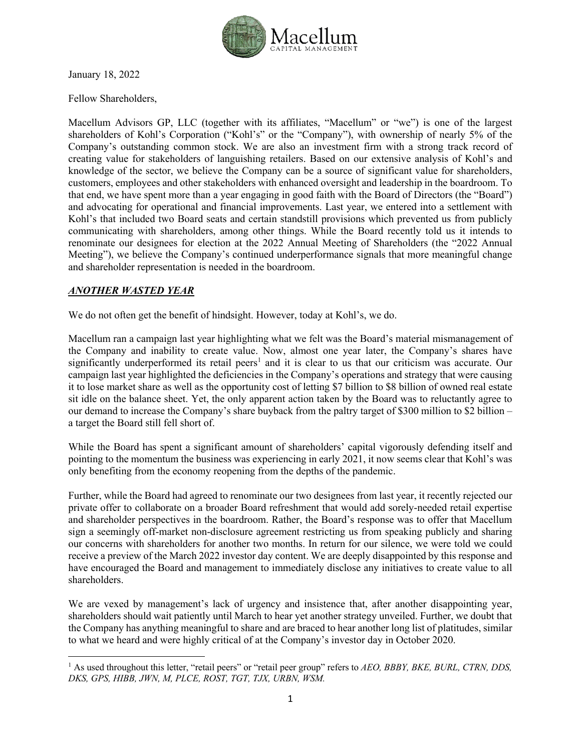

January 18, 2022

Fellow Shareholders,

Macellum Advisors GP, LLC (together with its affiliates, "Macellum" or "we") is one of the largest shareholders of Kohl's Corporation ("Kohl's" or the "Company"), with ownership of nearly 5% of the Company's outstanding common stock. We are also an investment firm with a strong track record of creating value for stakeholders of languishing retailers. Based on our extensive analysis of Kohl's and knowledge of the sector, we believe the Company can be a source of significant value for shareholders, customers, employees and other stakeholders with enhanced oversight and leadership in the boardroom. To that end, we have spent more than a year engaging in good faith with the Board of Directors (the "Board") and advocating for operational and financial improvements. Last year, we entered into a settlement with Kohl's that included two Board seats and certain standstill provisions which prevented us from publicly communicating with shareholders, among other things. While the Board recently told us it intends to renominate our designees for election at the 2022 Annual Meeting of Shareholders (the "2022 Annual Meeting"), we believe the Company's continued underperformance signals that more meaningful change and shareholder representation is needed in the boardroom.

### *ANOTHER WASTED YEAR*

We do not often get the benefit of hindsight. However, today at Kohl's, we do.

Macellum ran a campaign last year highlighting what we felt was the Board's material mismanagement of the Company and inability to create value. Now, almost one year later, the Company's shares have significantly underperformed its retail peers<sup>1</sup> and it is clear to us that our criticism was accurate. Our campaign last year highlighted the deficiencies in the Company's operations and strategy that were causing it to lose market share as well as the opportunity cost of letting \$7 billion to \$8 billion of owned real estate sit idle on the balance sheet. Yet, the only apparent action taken by the Board was to reluctantly agree to our demand to increase the Company's share buyback from the paltry target of \$300 million to \$2 billion – a target the Board still fell short of.

While the Board has spent a significant amount of shareholders' capital vigorously defending itself and pointing to the momentum the business was experiencing in early 2021, it now seems clear that Kohl's was only benefiting from the economy reopening from the depths of the pandemic.

Further, while the Board had agreed to renominate our two designees from last year, it recently rejected our private offer to collaborate on a broader Board refreshment that would add sorely-needed retail expertise and shareholder perspectives in the boardroom. Rather, the Board's response was to offer that Macellum sign a seemingly off-market non-disclosure agreement restricting us from speaking publicly and sharing our concerns with shareholders for another two months. In return for our silence, we were told we could receive a preview of the March 2022 investor day content. We are deeply disappointed by this response and have encouraged the Board and management to immediately disclose any initiatives to create value to all shareholders.

We are vexed by management's lack of urgency and insistence that, after another disappointing year, shareholders should wait patiently until March to hear yet another strategy unveiled. Further, we doubt that the Company has anything meaningful to share and are braced to hear another long list of platitudes, similar to what we heard and were highly critical of at the Company's investor day in October 2020.

<sup>&</sup>lt;sup>1</sup> As used throughout this letter, "retail peers" or "retail peer group" refers to *AEO, BBBY, BKE, BURL, CTRN, DDS*, *DKS, GPS, HIBB, JWN, M, PLCE, ROST, TGT, TJX, URBN, WSM.*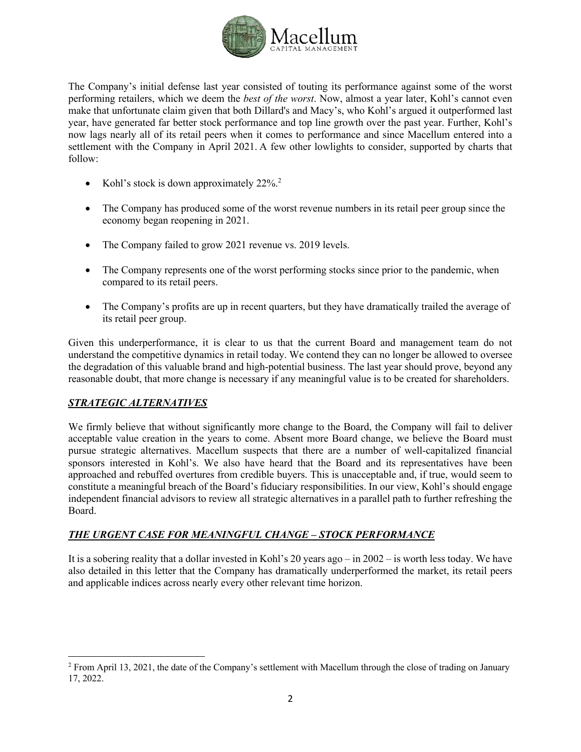

The Company's initial defense last year consisted of touting its performance against some of the worst performing retailers, which we deem the *best of the worst*. Now, almost a year later, Kohl's cannot even make that unfortunate claim given that both Dillard's and Macy's, who Kohl's argued it outperformed last year, have generated far better stock performance and top line growth over the past year. Further, Kohl's now lags nearly all of its retail peers when it comes to performance and since Macellum entered into a settlement with the Company in April 2021. A few other lowlights to consider, supported by charts that follow:

- Kohl's stock is down approximately 22%.<sup>2</sup>
- The Company has produced some of the worst revenue numbers in its retail peer group since the economy began reopening in 2021.
- The Company failed to grow 2021 revenue vs. 2019 levels.
- The Company represents one of the worst performing stocks since prior to the pandemic, when compared to its retail peers.
- The Company's profits are up in recent quarters, but they have dramatically trailed the average of its retail peer group.

Given this underperformance, it is clear to us that the current Board and management team do not understand the competitive dynamics in retail today. We contend they can no longer be allowed to oversee the degradation of this valuable brand and high-potential business. The last year should prove, beyond any reasonable doubt, that more change is necessary if any meaningful value is to be created for shareholders.

## *STRATEGIC ALTERNATIVES*

We firmly believe that without significantly more change to the Board, the Company will fail to deliver acceptable value creation in the years to come. Absent more Board change, we believe the Board must pursue strategic alternatives. Macellum suspects that there are a number of well-capitalized financial sponsors interested in Kohl's. We also have heard that the Board and its representatives have been approached and rebuffed overtures from credible buyers. This is unacceptable and, if true, would seem to constitute a meaningful breach of the Board's fiduciary responsibilities. In our view, Kohl's should engage independent financial advisors to review all strategic alternatives in a parallel path to further refreshing the Board.

### *THE URGENT CASE FOR MEANINGFUL CHANGE – STOCK PERFORMANCE*

It is a sobering reality that a dollar invested in Kohl's 20 years ago – in 2002 – is worth less today. We have also detailed in this letter that the Company has dramatically underperformed the market, its retail peers and applicable indices across nearly every other relevant time horizon.

 $2$  From April 13, 2021, the date of the Company's settlement with Macellum through the close of trading on January 17, 2022.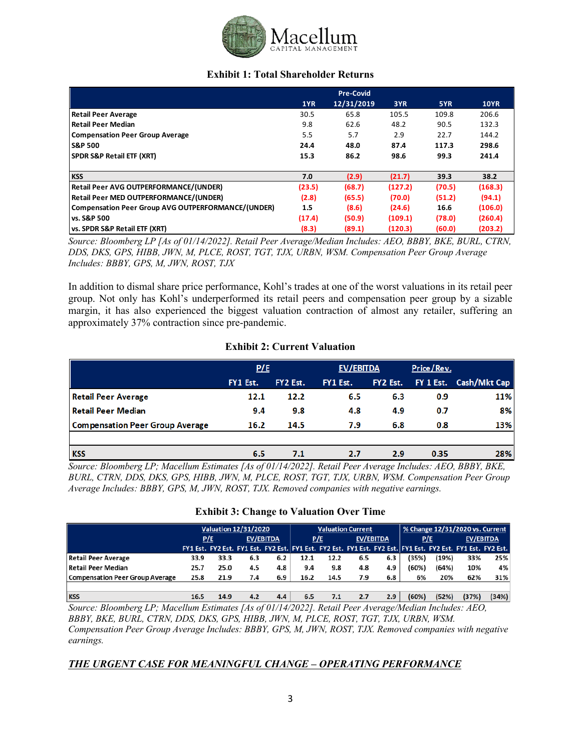

### **Exhibit 1: Total Shareholder Returns**

|                                                    |        | <b>Pre-Covid</b> |         |        |             |
|----------------------------------------------------|--------|------------------|---------|--------|-------------|
|                                                    | 1YR    | 12/31/2019       | 3YR     | 5YR    | <b>10YR</b> |
| <b>Retail Peer Average</b>                         | 30.5   | 65.8             | 105.5   | 109.8  | 206.6       |
| <b>Retail Peer Median</b>                          | 9.8    | 62.6             | 48.2    | 90.5   | 132.3       |
| <b>Compensation Peer Group Average</b>             | 5.5    | 5.7              | 2.9     | 22.7   | 144.2       |
| <b>S&amp;P 500</b>                                 | 24.4   | 48.0             | 87.4    | 117.3  | 298.6       |
| <b>SPDR S&amp;P Retail ETF (XRT)</b>               | 15.3   | 86.2             | 98.6    | 99.3   | 241.4       |
|                                                    |        |                  |         |        |             |
| <b>KSS</b>                                         | 7.0    | (2.9)            | (21.7)  | 39.3   | 38.2        |
| <b>Retail Peer AVG OUTPERFORMANCE/(UNDER)</b>      | (23.5) | (68.7)           | (127.2) | (70.5) | (168.3)     |
| Retail Peer MED OUTPERFORMANCE/(UNDER)             | (2.8)  | (65.5)           | (70.0)  | (51.2) | (94.1)      |
| Compensation Peer Group AVG OUTPERFORMANCE/(UNDER) | 1.5    | (8.6)            | (24.6)  | 16.6   | (106.0)     |
| vs. S&P 500                                        | (17.4) | (50.9)           | (109.1) | (78.0) | (260.4)     |
| vs. SPDR S&P Retail ETF (XRT)                      | (8.3)  | (89.1)           | (120.3) | (60.0) | (203.2)     |

*Source: Bloomberg LP [As of 01/14/2022]. Retail Peer Average/Median Includes: AEO, BBBY, BKE, BURL, CTRN, DDS, DKS, GPS, HIBB, JWN, M, PLCE, ROST, TGT, TJX, URBN, WSM. Compensation Peer Group Average Includes: BBBY, GPS, M, JWN, ROST, TJX*

In addition to dismal share price performance, Kohl's trades at one of the worst valuations in its retail peer group. Not only has Kohl's underperformed its retail peers and compensation peer group by a sizable margin, it has also experienced the biggest valuation contraction of almost any retailer, suffering an approximately 37% contraction since pre-pandemic.

### **Exhibit 2: Current Valuation**

|                                        | P/E      |          | EV/EBITDA |          | Price/Rev. |                        |
|----------------------------------------|----------|----------|-----------|----------|------------|------------------------|
|                                        | FY1 Est. | FY2 Est. | FY1 Est.  | FY2 Est. |            | FY 1 Est. Cash/Mkt Cap |
| <b>Retail Peer Average</b>             | 12.1     | 12.2     | 6.5       | 6.3      | 0.9        | 11%                    |
| <b>Retail Peer Median</b>              | 9.4      | 9.8      | 4.8       | 4.9      | 0.7        | 8%                     |
| <b>Compensation Peer Group Average</b> | 16.2     | 14.5     | 7.9       | 6.8      | 0.8        | 13%                    |
|                                        |          |          |           |          |            |                        |
| <b>KSS</b>                             | 6.5      | 7.1      | 2.7       | 2.9      | 0.35       | 28%                    |

*Source: Bloomberg LP; Macellum Estimates [As of 01/14/2022]. Retail Peer Average Includes: AEO, BBBY, BKE, BURL, CTRN, DDS, DKS, GPS, HIBB, JWN, M, PLCE, ROST, TGT, TJX, URBN, WSM. Compensation Peer Group Average Includes: BBBY, GPS, M, JWN, ROST, TJX. Removed companies with negative earnings.*

### **Exhibit 3: Change to Valuation Over Time**

|                                 | <b>Valuation 12/31/2020</b> |      |     | <b>Valuation Current</b> |      |                                                                                                             |     | % Change 12/31/2020 vs. Current |       |           |       |       |
|---------------------------------|-----------------------------|------|-----|--------------------------|------|-------------------------------------------------------------------------------------------------------------|-----|---------------------------------|-------|-----------|-------|-------|
|                                 | EV/EBITDA<br>P/E            |      | P/E |                          |      | EV/EBITDA                                                                                                   |     | P/E                             |       | EV/EBITDA |       |       |
|                                 |                             |      |     |                          |      | FY1 Est. FY2 Est. FY1 Est. FY2 Est. FY1 Est. FY2 Est. FY1 Est. FY2 Est. FY2 Est. FY2 Est. FY1 Est. FY2 Est. |     |                                 |       |           |       |       |
| <b>Retail Peer Average</b>      | 33.9                        | 33.3 | 6.3 | 6.2                      | 12.1 | 12.2                                                                                                        | 6.5 | 6.3                             | (35%) | (19%)     | 33%   | 25%   |
| Retail Peer Median              | 25.7                        | 25.0 | 4.5 | 4.8                      | 9.4  | 9.8                                                                                                         | 4.8 | 4.9                             | (60%) | (64%)     | 10%   | 4%    |
| Compensation Peer Group Average | 25.8                        | 21.9 | 7.4 | 6.9                      | 16.2 | 14.5                                                                                                        | 7.9 | 6.8                             | 6%    | 20%       | 62%   | 31%   |
|                                 |                             |      |     |                          |      |                                                                                                             |     |                                 |       |           |       |       |
| <b>KSS</b>                      | 16.5                        | 14.9 | 4.2 | 4.4                      | 6.5  | 7.1                                                                                                         | 2.7 | 2.9                             | (60%) | (52%)     | (37%) | (34%) |

*Source: Bloomberg LP; Macellum Estimates [As of 01/14/2022]. Retail Peer Average/Median Includes: AEO, BBBY, BKE, BURL, CTRN, DDS, DKS, GPS, HIBB, JWN, M, PLCE, ROST, TGT, TJX, URBN, WSM. Compensation Peer Group Average Includes: BBBY, GPS, M, JWN, ROST, TJX. Removed companies with negative earnings.*

## *THE URGENT CASE FOR MEANINGFUL CHANGE – OPERATING PERFORMANCE*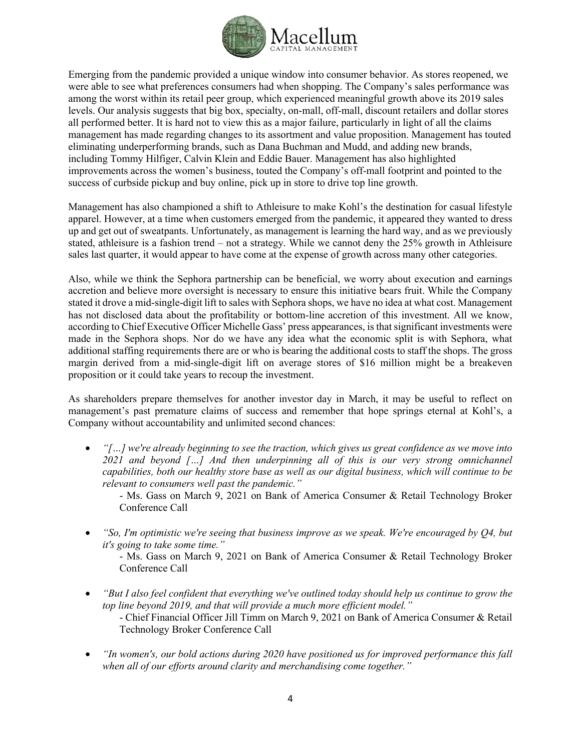

Emerging from the pandemic provided a unique window into consumer behavior. As stores reopened, we were able to see what preferences consumers had when shopping. The Company's sales performance was among the worst within its retail peer group, which experienced meaningful growth above its 2019 sales levels. Our analysis suggests that big box, specialty, on-mall, off-mall, discount retailers and dollar stores all performed better. It is hard not to view this as a major failure, particularly in light of all the claims management has made regarding changes to its assortment and value proposition. Management has touted eliminating underperforming brands, such as Dana Buchman and Mudd, and adding new brands, including Tommy Hilfiger, Calvin Klein and Eddie Bauer. Management has also highlighted improvements across the women's business, touted the Company's off-mall footprint and pointed to the success of curbside pickup and buy online, pick up in store to drive top line growth.

Management has also championed a shift to Athleisure to make Kohl's the destination for casual lifestyle apparel. However, at a time when customers emerged from the pandemic, it appeared they wanted to dress up and get out of sweatpants. Unfortunately, as management is learning the hard way, and as we previously stated, athleisure is a fashion trend – not a strategy. While we cannot deny the 25% growth in Athleisure sales last quarter, it would appear to have come at the expense of growth across many other categories.

Also, while we think the Sephora partnership can be beneficial, we worry about execution and earnings accretion and believe more oversight is necessary to ensure this initiative bears fruit. While the Company stated it drove a mid-single-digit lift to sales with Sephora shops, we have no idea at what cost. Management has not disclosed data about the profitability or bottom-line accretion of this investment. All we know, according to Chief Executive Officer Michelle Gass' press appearances, is that significant investments were made in the Sephora shops. Nor do we have any idea what the economic split is with Sephora, what additional staffing requirements there are or who is bearing the additional costs to staff the shops. The gross margin derived from a mid-single-digit lift on average stores of \$16 million might be a breakeven proposition or it could take years to recoup the investment.

As shareholders prepare themselves for another investor day in March, it may be useful to reflect on management's past premature claims of success and remember that hope springs eternal at Kohl's, a Company without accountability and unlimited second chances:

- *"[…] we're already beginning to see the traction, which gives us great confidence as we move into*  2021 and beyond [...] And then underpinning all of this is our very strong omnichannel *capabilities, both our healthy store base as well as our digital business, which will continue to be relevant to consumers well past the pandemic."*
	- Ms. Gass on March 9, 2021 on Bank of America Consumer & Retail Technology Broker Conference Call
- *"So, I'm optimistic we're seeing that business improve as we speak. We're encouraged by Q4, but it's going to take some time."*

- Ms. Gass on March 9, 2021 on Bank of America Consumer & Retail Technology Broker Conference Call

- *"But I also feel confident that everything we've outlined today should help us continue to grow the top line beyond 2019, and that will provide a much more efficient model."* - Chief Financial Officer Jill Timm on March 9, 2021 on Bank of America Consumer & Retail Technology Broker Conference Call
- *"In women's, our bold actions during 2020 have positioned us for improved performance this fall when all of our efforts around clarity and merchandising come together."*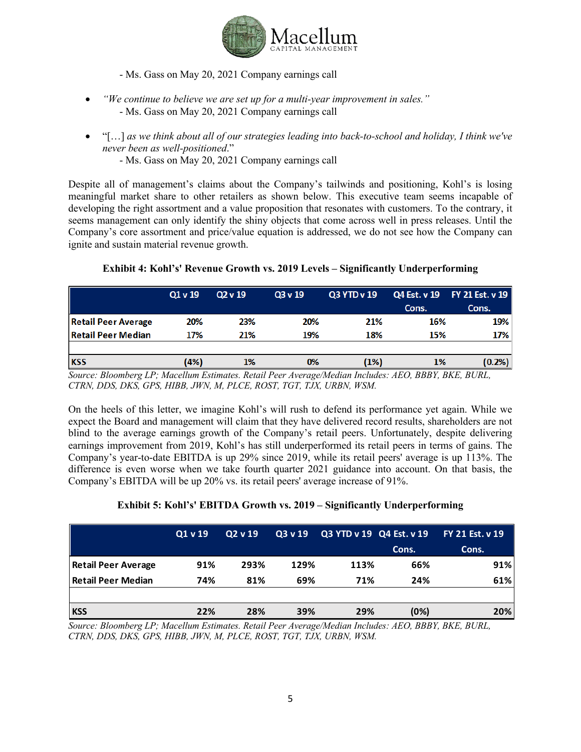

- Ms. Gass on May 20, 2021 Company earnings call

- *"We continue to believe we are set up for a multi-year improvement in sales."* - Ms. Gass on May 20, 2021 Company earnings call
- "[…] *as we think about all of our strategies leading into back-to-school and holiday, I think we've never been as well-positioned*."
	- Ms. Gass on May 20, 2021 Company earnings call

Despite all of management's claims about the Company's tailwinds and positioning, Kohl's is losing meaningful market share to other retailers as shown below. This executive team seems incapable of developing the right assortment and a value proposition that resonates with customers. To the contrary, it seems management can only identify the shiny objects that come across well in press releases. Until the Company's core assortment and price/value equation is addressed, we do not see how the Company can ignite and sustain material revenue growth.

|                            | Q1v19 | Q2v19 | Q3 v 19 | Q3 YTD v 19 | Q4 Est. v 19 | FY 21 Est. v 19 |
|----------------------------|-------|-------|---------|-------------|--------------|-----------------|
|                            |       |       |         |             | Cons.        | Cons.           |
| <b>Retail Peer Average</b> | 20%   | 23%   | 20%     | 21%         | 16%          | 19%             |
| <b>Retail Peer Median</b>  | 17%   | 21%   | 19%     | 18%         | 15%          | 17%             |
|                            |       |       |         |             |              |                 |
| <b>KSS</b>                 | (4%)  | 1%    | 0%      | (1%)        | 1%           | (0.2%           |

## **Exhibit 4: Kohl's' Revenue Growth vs. 2019 Levels – Significantly Underperforming**

*Source: Bloomberg LP; Macellum Estimates. Retail Peer Average/Median Includes: AEO, BBBY, BKE, BURL, CTRN, DDS, DKS, GPS, HIBB, JWN, M, PLCE, ROST, TGT, TJX, URBN, WSM.*

On the heels of this letter, we imagine Kohl's will rush to defend its performance yet again. While we expect the Board and management will claim that they have delivered record results, shareholders are not blind to the average earnings growth of the Company's retail peers. Unfortunately, despite delivering earnings improvement from 2019, Kohl's has still underperformed its retail peers in terms of gains. The Company's year-to-date EBITDA is up 29% since 2019, while its retail peers' average is up 113%. The difference is even worse when we take fourth quarter 2021 guidance into account. On that basis, the Company's EBITDA will be up 20% vs. its retail peers' average increase of 91%.

## **Exhibit 5: Kohl's' EBITDA Growth vs. 2019 – Significantly Underperforming**

|                            | Q1v19 | Q2 v 19 | $\overline{Q}$ 3 v 19 | Q3 YTD v 19 Q4 Est. v 19 |       | <b>FY 21 Est. v 19</b> |
|----------------------------|-------|---------|-----------------------|--------------------------|-------|------------------------|
|                            |       |         |                       |                          | Cons. | Cons.                  |
| <b>Retail Peer Average</b> | 91%   | 293%    | 129%                  | 113%                     | 66%   | 91%                    |
| <b>Retail Peer Median</b>  | 74%   | 81%     | 69%                   | 71%                      | 24%   | 61%                    |
| <b>KSS</b>                 | 22%   | 28%     | 39%                   | 29%                      | (0%)  | 20%                    |

*Source: Bloomberg LP; Macellum Estimates. Retail Peer Average/Median Includes: AEO, BBBY, BKE, BURL, CTRN, DDS, DKS, GPS, HIBB, JWN, M, PLCE, ROST, TGT, TJX, URBN, WSM.*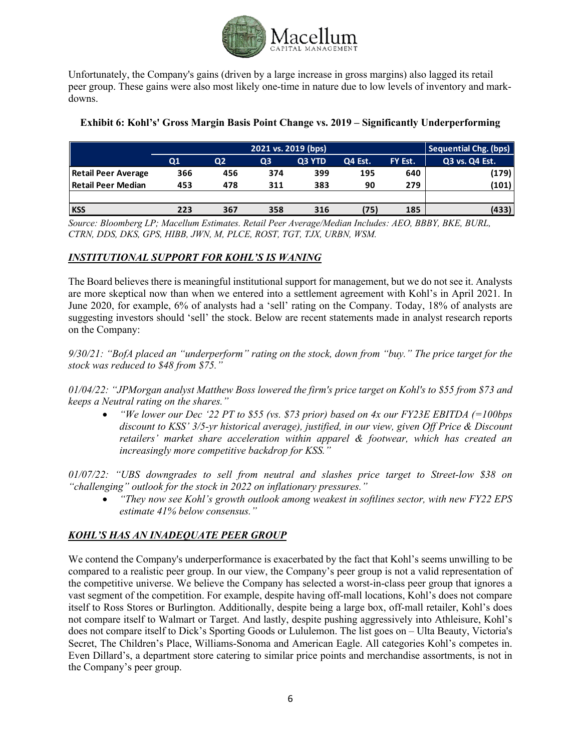

Unfortunately, the Company's gains (driven by a large increase in gross margins) also lagged its retail peer group. These gains were also most likely one-time in nature due to low levels of inventory and markdowns.

|                            | <b>Sequential Chg. (bps)</b><br>2021 vs. 2019 (bps) |     |     |        |         |         |                |  |  |
|----------------------------|-----------------------------------------------------|-----|-----|--------|---------|---------|----------------|--|--|
|                            | Q1                                                  | Q2  | Q3  | Q3 YTD | Q4 Est. | FY Est. | Q3 vs. Q4 Est. |  |  |
| <b>Retail Peer Average</b> | 366                                                 | 456 | 374 | 399    | 195     | 640     | (179)          |  |  |
| <b>Retail Peer Median</b>  | 453                                                 | 478 | 311 | 383    | 90      | 279     | (101)          |  |  |
|                            |                                                     |     |     |        |         |         |                |  |  |
| <b>KSS</b>                 | 223                                                 | 367 | 358 | 316    | (75)    | 185     | (433)          |  |  |

### **Exhibit 6: Kohl's' Gross Margin Basis Point Change vs. 2019 – Significantly Underperforming**

*Source: Bloomberg LP; Macellum Estimates. Retail Peer Average/Median Includes: AEO, BBBY, BKE, BURL, CTRN, DDS, DKS, GPS, HIBB, JWN, M, PLCE, ROST, TGT, TJX, URBN, WSM.*

## *INSTITUTIONAL SUPPORT FOR KOHL'S IS WANING*

The Board believes there is meaningful institutional support for management, but we do not see it. Analysts are more skeptical now than when we entered into a settlement agreement with Kohl's in April 2021. In June 2020, for example, 6% of analysts had a 'sell' rating on the Company. Today, 18% of analysts are suggesting investors should 'sell' the stock. Below are recent statements made in analyst research reports on the Company:

*9/30/21: "BofA placed an "underperform" rating on the stock, down from "buy." The price target for the stock was reduced to \$48 from \$75."*

*01/04/22: "JPMorgan analyst Matthew Boss lowered the firm's price target on Kohl's to \$55 from \$73 and keeps a Neutral rating on the shares."*

• *"We lower our Dec '22 PT to \$55 (vs. \$73 prior) based on 4x our FY23E EBITDA (=100bps discount to KSS' 3/5-yr historical average), justified, in our view, given Off Price & Discount retailers' market share acceleration within apparel & footwear, which has created an increasingly more competitive backdrop for KSS."*

*01/07/22: "UBS downgrades to sell from neutral and slashes price target to Street-low \$38 on "challenging" outlook for the stock in 2022 on inflationary pressures."*

• *"They now see Kohl's growth outlook among weakest in softlines sector, with new FY22 EPS estimate 41% below consensus."*

## *KOHL'S HAS AN INADEQUATE PEER GROUP*

We contend the Company's underperformance is exacerbated by the fact that Kohl's seems unwilling to be compared to a realistic peer group. In our view, the Company's peer group is not a valid representation of the competitive universe. We believe the Company has selected a worst-in-class peer group that ignores a vast segment of the competition. For example, despite having off-mall locations, Kohl's does not compare itself to Ross Stores or Burlington. Additionally, despite being a large box, off-mall retailer, Kohl's does not compare itself to Walmart or Target. And lastly, despite pushing aggressively into Athleisure, Kohl's does not compare itself to Dick's Sporting Goods or Lululemon. The list goes on – Ulta Beauty, Victoria's Secret, The Children's Place, Williams-Sonoma and American Eagle. All categories Kohl's competes in. Even Dillard's, a department store catering to similar price points and merchandise assortments, is not in the Company's peer group.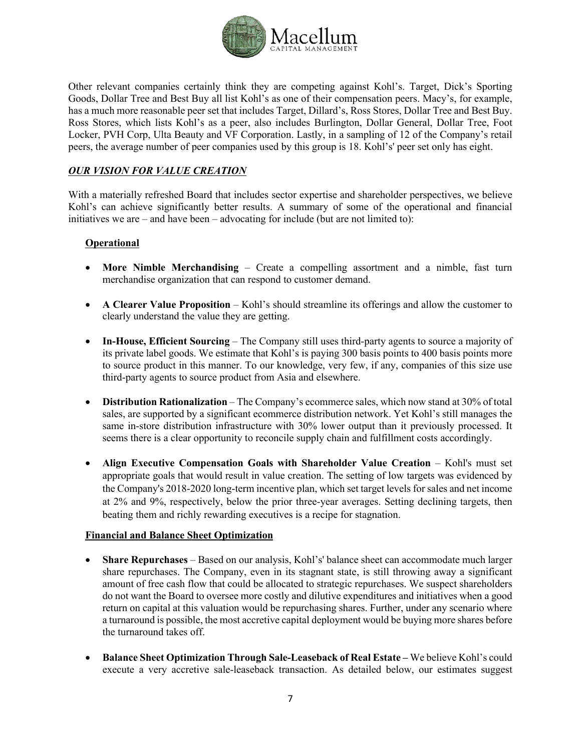

Other relevant companies certainly think they are competing against Kohl's. Target, Dick's Sporting Goods, Dollar Tree and Best Buy all list Kohl's as one of their compensation peers. Macy's, for example, has a much more reasonable peer set that includes Target, Dillard's, Ross Stores, Dollar Tree and Best Buy. Ross Stores, which lists Kohl's as a peer, also includes Burlington, Dollar General, Dollar Tree, Foot Locker, PVH Corp, Ulta Beauty and VF Corporation. Lastly, in a sampling of 12 of the Company's retail peers, the average number of peer companies used by this group is 18. Kohl's' peer set only has eight.

## *OUR VISION FOR VALUE CREATION*

With a materially refreshed Board that includes sector expertise and shareholder perspectives, we believe Kohl's can achieve significantly better results. A summary of some of the operational and financial initiatives we are – and have been – advocating for include (but are not limited to):

## **Operational**

- **More Nimble Merchandising** Create a compelling assortment and a nimble, fast turn merchandise organization that can respond to customer demand.
- **A Clearer Value Proposition** Kohl's should streamline its offerings and allow the customer to clearly understand the value they are getting.
- **In-House, Efficient Sourcing** The Company still uses third-party agents to source a majority of its private label goods. We estimate that Kohl's is paying 300 basis points to 400 basis points more to source product in this manner. To our knowledge, very few, if any, companies of this size use third-party agents to source product from Asia and elsewhere.
- **Distribution Rationalization** The Company's ecommerce sales, which now stand at 30% of total sales, are supported by a significant ecommerce distribution network. Yet Kohl's still manages the same in-store distribution infrastructure with 30% lower output than it previously processed. It seems there is a clear opportunity to reconcile supply chain and fulfillment costs accordingly.
- **Align Executive Compensation Goals with Shareholder Value Creation** Kohl's must set appropriate goals that would result in value creation. The setting of low targets was evidenced by the Company's 2018-2020 long-term incentive plan, which set target levels for sales and net income at 2% and 9%, respectively, below the prior three-year averages. Setting declining targets, then beating them and richly rewarding executives is a recipe for stagnation.

### **Financial and Balance Sheet Optimization**

- **Share Repurchases** Based on our analysis, Kohl's' balance sheet can accommodate much larger share repurchases. The Company, even in its stagnant state, is still throwing away a significant amount of free cash flow that could be allocated to strategic repurchases. We suspect shareholders do not want the Board to oversee more costly and dilutive expenditures and initiatives when a good return on capital at this valuation would be repurchasing shares. Further, under any scenario where a turnaround is possible, the most accretive capital deployment would be buying more shares before the turnaround takes off.
- **Balance Sheet Optimization Through Sale-Leaseback of Real Estate –** We believe Kohl's could execute a very accretive sale-leaseback transaction. As detailed below, our estimates suggest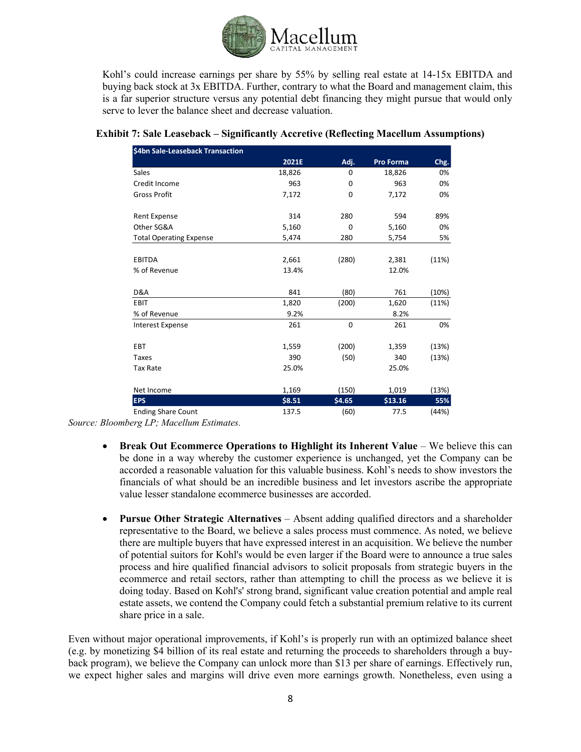

Kohl's could increase earnings per share by 55% by selling real estate at 14-15x EBITDA and buying back stock at 3x EBITDA. Further, contrary to what the Board and management claim, this is a far superior structure versus any potential debt financing they might pursue that would only serve to lever the balance sheet and decrease valuation.

| \$4bn Sale-Leaseback Transaction |        |        |                  |       |
|----------------------------------|--------|--------|------------------|-------|
|                                  | 2021E  | Adj.   | <b>Pro Forma</b> | Chg.  |
| Sales                            | 18,826 | 0      | 18,826           | 0%    |
| Credit Income                    | 963    | 0      | 963              | 0%    |
| <b>Gross Profit</b>              | 7,172  | 0      | 7,172            | 0%    |
| <b>Rent Expense</b>              | 314    | 280    | 594              | 89%   |
| Other SG&A                       | 5,160  | 0      | 5,160            | 0%    |
| <b>Total Operating Expense</b>   | 5,474  | 280    | 5,754            | 5%    |
|                                  |        |        |                  |       |
| <b>EBITDA</b>                    | 2,661  | (280)  | 2,381            | (11%) |
| % of Revenue                     | 13.4%  |        | 12.0%            |       |
|                                  |        |        |                  |       |
| D&A                              | 841    | (80)   | 761              | (10%) |
| EBIT                             | 1,820  | (200)  | 1,620            | (11%) |
| % of Revenue                     | 9.2%   |        | 8.2%             |       |
| <b>Interest Expense</b>          | 261    | 0      | 261              | 0%    |
| EBT                              | 1,559  | (200)  | 1,359            | (13%) |
| <b>Taxes</b>                     | 390    | (50)   | 340              | (13%) |
| <b>Tax Rate</b>                  | 25.0%  |        | 25.0%            |       |
|                                  |        |        |                  |       |
| Net Income                       | 1,169  | (150)  | 1,019            | (13%) |
| <b>EPS</b>                       | \$8.51 | \$4.65 | \$13.16          | 55%   |
| <b>Ending Share Count</b>        | 137.5  | (60)   | 77.5             | (44%) |

### **Exhibit 7: Sale Leaseback – Significantly Accretive (Reflecting Macellum Assumptions)**

*Source: Bloomberg LP; Macellum Estimates.* 

- **Break Out Ecommerce Operations to Highlight its Inherent Value** We believe this can be done in a way whereby the customer experience is unchanged, yet the Company can be accorded a reasonable valuation for this valuable business. Kohl's needs to show investors the financials of what should be an incredible business and let investors ascribe the appropriate value lesser standalone ecommerce businesses are accorded.
- **Pursue Other Strategic Alternatives** Absent adding qualified directors and a shareholder representative to the Board, we believe a sales process must commence. As noted, we believe there are multiple buyers that have expressed interest in an acquisition. We believe the number of potential suitors for Kohl's would be even larger if the Board were to announce a true sales process and hire qualified financial advisors to solicit proposals from strategic buyers in the ecommerce and retail sectors, rather than attempting to chill the process as we believe it is doing today. Based on Kohl's' strong brand, significant value creation potential and ample real estate assets, we contend the Company could fetch a substantial premium relative to its current share price in a sale.

Even without major operational improvements, if Kohl's is properly run with an optimized balance sheet (e.g. by monetizing \$4 billion of its real estate and returning the proceeds to shareholders through a buyback program), we believe the Company can unlock more than \$13 per share of earnings. Effectively run, we expect higher sales and margins will drive even more earnings growth. Nonetheless, even using a